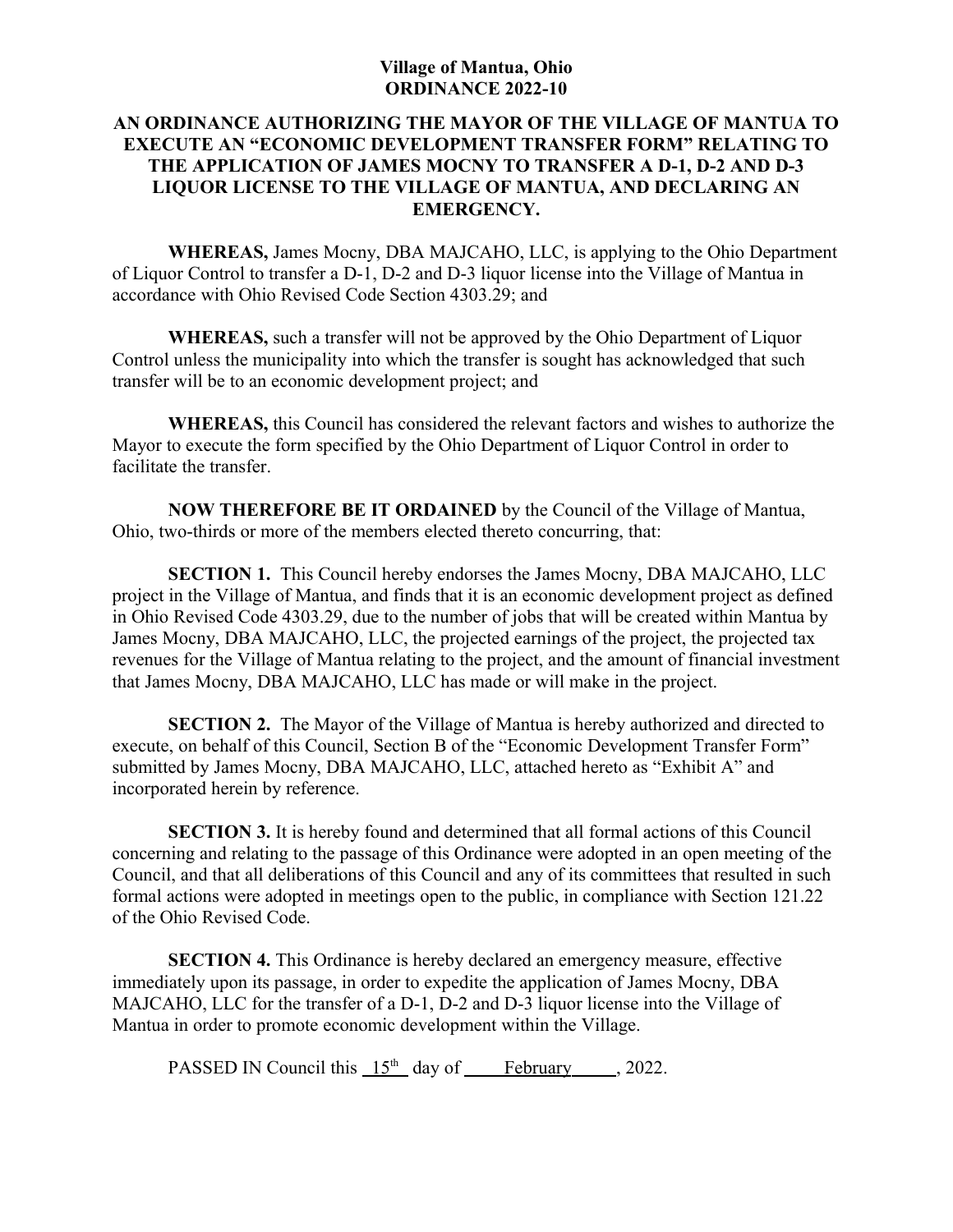#### **Village of Mantua, Ohio ORDINANCE 2022-10**

## **AN ORDINANCE AUTHORIZING THE MAYOR OF THE VILLAGE OF MANTUA TO EXECUTE AN "ECONOMIC DEVELOPMENT TRANSFER FORM" RELATING TO THE APPLICATION OF JAMES MOCNY TO TRANSFER A D-1, D-2 AND D-3 LIQUOR LICENSE TO THE VILLAGE OF MANTUA, AND DECLARING AN EMERGENCY.**

**WHEREAS,** James Mocny, DBA MAJCAHO, LLC, is applying to the Ohio Department of Liquor Control to transfer a D-1, D-2 and D-3 liquor license into the Village of Mantua in accordance with Ohio Revised Code Section 4303.29; and

**WHEREAS,** such a transfer will not be approved by the Ohio Department of Liquor Control unless the municipality into which the transfer is sought has acknowledged that such transfer will be to an economic development project; and

**WHEREAS,** this Council has considered the relevant factors and wishes to authorize the Mayor to execute the form specified by the Ohio Department of Liquor Control in order to facilitate the transfer.

**NOW THEREFORE BE IT ORDAINED** by the Council of the Village of Mantua, Ohio, two-thirds or more of the members elected thereto concurring, that:

**SECTION 1.** This Council hereby endorses the James Mocny, DBA MAJCAHO, LLC project in the Village of Mantua, and finds that it is an economic development project as defined in Ohio Revised Code 4303.29, due to the number of jobs that will be created within Mantua by James Mocny, DBA MAJCAHO, LLC, the projected earnings of the project, the projected tax revenues for the Village of Mantua relating to the project, and the amount of financial investment that James Mocny, DBA MAJCAHO, LLC has made or will make in the project.

**SECTION 2.** The Mayor of the Village of Mantua is hereby authorized and directed to execute, on behalf of this Council, Section B of the "Economic Development Transfer Form" submitted by James Mocny, DBA MAJCAHO, LLC, attached hereto as "Exhibit A" and incorporated herein by reference.

**SECTION 3.** It is hereby found and determined that all formal actions of this Council concerning and relating to the passage of this Ordinance were adopted in an open meeting of the Council, and that all deliberations of this Council and any of its committees that resulted in such formal actions were adopted in meetings open to the public, in compliance with Section 121.22 of the Ohio Revised Code.

**SECTION 4.** This Ordinance is hereby declared an emergency measure, effective immediately upon its passage, in order to expedite the application of James Mocny, DBA MAJCAHO, LLC for the transfer of a D-1, D-2 and D-3 liquor license into the Village of Mantua in order to promote economic development within the Village.

PASSED IN Council this  $15<sup>th</sup>$  day of February , 2022.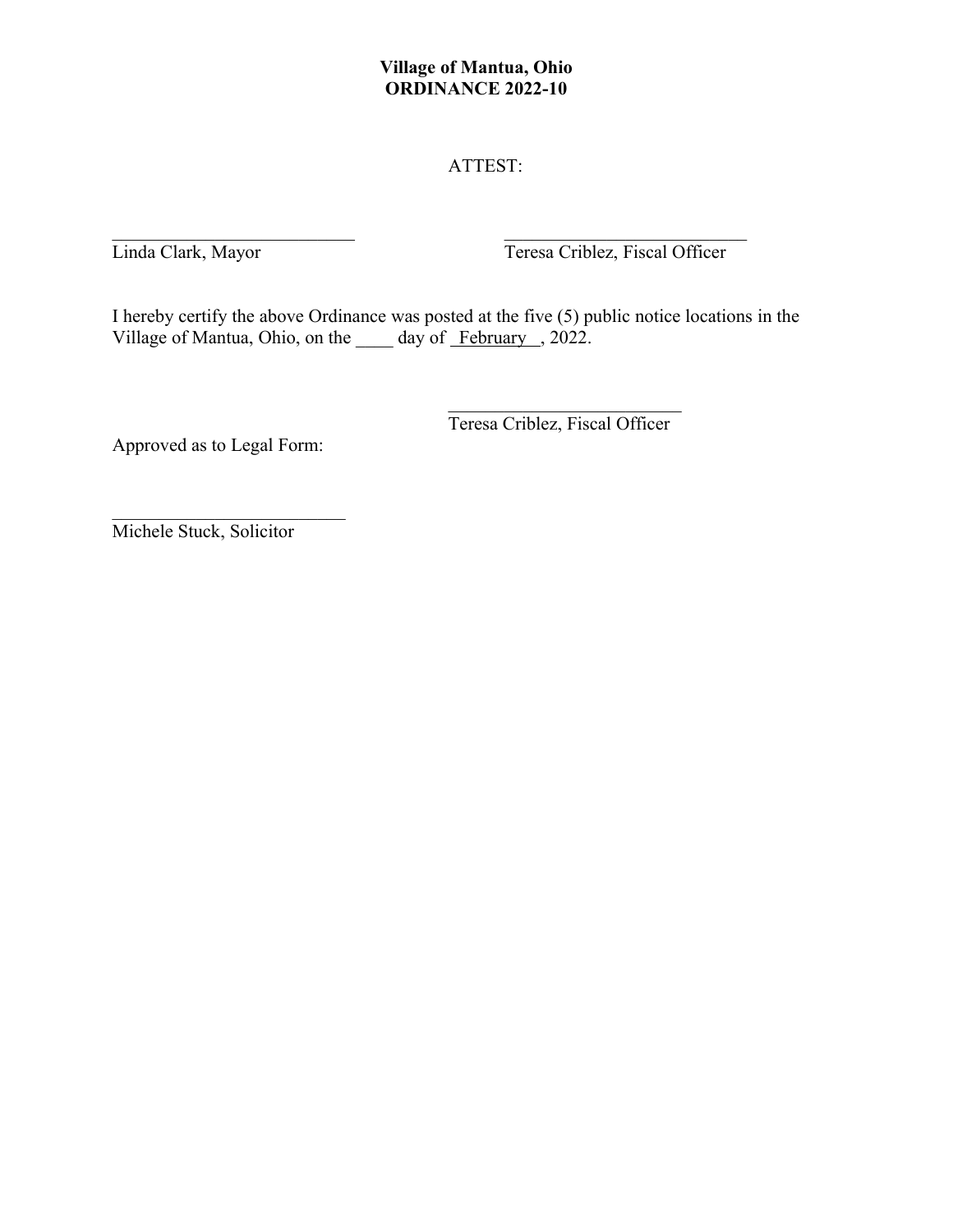## **Village of Mantua, Ohio ORDINANCE 2022-10**

# ATTEST:

Linda Clark, Mayor Teresa Criblez, Fiscal Officer

I hereby certify the above Ordinance was posted at the five (5) public notice locations in the Village of Mantua, Ohio, on the \_\_\_\_\_ day of February , 2022.

Approved as to Legal Form:

Teresa Criblez, Fiscal Officer

Michele Stuck, Solicitor